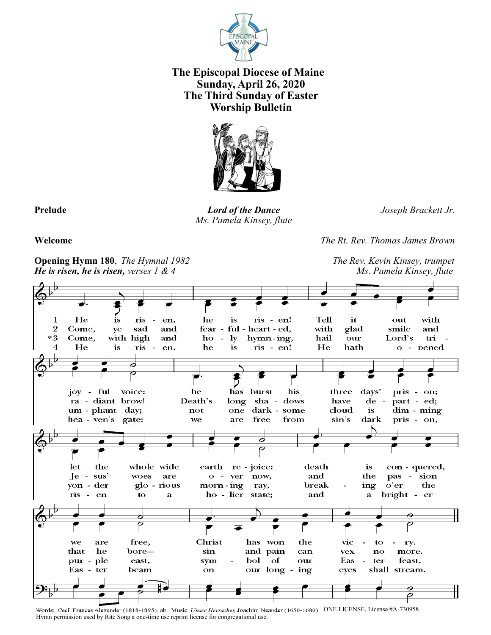

# **The Episcopal Diocese of Maine Sunday, April 26, 2020 The Third Sunday of Easter Worship Bulletin**



**Prelude** *Lord of the Dance Joseph Brackett Jr. Ms. Pamela Kinsey, flute*

**Welcome** *The Rt. Rev. Thomas James Brown*

**Opening Hymn 180**, *The Hymnal 1982**The Rev. Kevin Kinsey, trumpet He is risen, he is risen, verses 1 & 4* Ms. Pamela Kinsey, flute



Words: Cecil Frances Alexander (1818-1895), alt. Music: Unser Herrscher, Joachim Neander (1650-1680) ONE LICENSE, License #A-730958. Hymn permission used by Rite Song a one-time use reprint license for congregational use.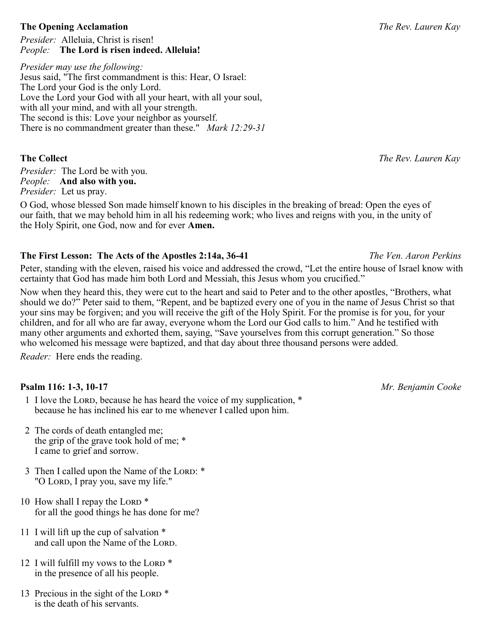### **The Opening Acclamation** *The Rev. Lauren Kay*

*Presider:* Alleluia, Christ is risen! *People:* **The Lord is risen indeed. Alleluia!**

*Presider may use the following:* Jesus said, "The first commandment is this: Hear, O Israel: The Lord your God is the only Lord. Love the Lord your God with all your heart, with all your soul, with all your mind, and with all your strength. The second is this: Love your neighbor as yourself. There is no commandment greater than these." *Mark 12:29-31*

*Presider:* The Lord be with you. *People:* **And also with you.** *Presider:* Let us pray.

O God, whose blessed Son made himself known to his disciples in the breaking of bread: Open the eyes of our faith, that we may behold him in all his redeeming work; who lives and reigns with you, in the unity of the Holy Spirit, one God, now and for ever **Amen.**

# **The First Lesson: The Acts of the Apostles 2:14a, 36-41** *The Ven. Aaron Perkins*

Peter, standing with the eleven, raised his voice and addressed the crowd, "Let the entire house of Israel know with certainty that God has made him both Lord and Messiah, this Jesus whom you crucified."

Now when they heard this, they were cut to the heart and said to Peter and to the other apostles, "Brothers, what should we do?" Peter said to them, "Repent, and be baptized every one of you in the name of Jesus Christ so that your sins may be forgiven; and you will receive the gift of the Holy Spirit. For the promise is for you, for your children, and for all who are far away, everyone whom the Lord our God calls to him." And he testified with many other arguments and exhorted them, saying, "Save yourselves from this corrupt generation." So those who welcomed his message were baptized, and that day about three thousand persons were added.

*Reader:* Here ends the reading.

# **Psalm 116: 1-3, 10-17** *Mr. Benjamin Cooke*

- 1 I love the Lord, because he has heard the voice of my supplication, \* because he has inclined his ear to me whenever I called upon him.
- 2 The cords of death entangled me; the grip of the grave took hold of me; \* I came to grief and sorrow.
- 3 Then I called upon the Name of the LORD: \* "O Lord, I pray you, save my life."
- 10 How shall I repay the LORD \* for all the good things he has done for me?
- 11 I will lift up the cup of salvation \* and call upon the Name of the LORD.
- 12 I will fulfill my vows to the LORD  $*$ in the presence of all his people.
- 13 Precious in the sight of the LORD \* is the death of his servants.

**The Collect** *The Rev. Lauren Kay*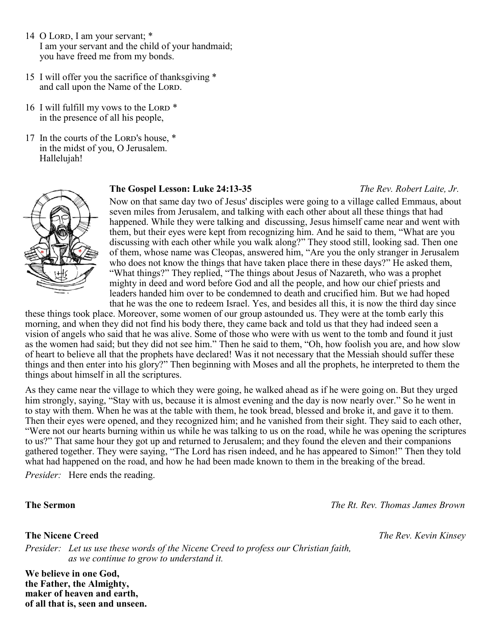- 14 O Lord, I am your servant; \* I am your servant and the child of your handmaid; you have freed me from my bonds.
- 15 I will offer you the sacrifice of thanksgiving \* and call upon the Name of the LORD.
- 16 I will fulfill my vows to the LORD  $*$ in the presence of all his people,
- 17 In the courts of the LORD's house, \* in the midst of you, O Jerusalem. Hallelujah!



### **The Gospel Lesson: Luke 24:13-35** *The Rev. Robert Laite, Jr.*

Now on that same day two of Jesus' disciples were going to a village called Emmaus, about seven miles from Jerusalem, and talking with each other about all these things that had happened. While they were talking and discussing, Jesus himself came near and went with them, but their eyes were kept from recognizing him. And he said to them, "What are you discussing with each other while you walk along?" They stood still, looking sad. Then one of them, whose name was Cleopas, answered him, "Are you the only stranger in Jerusalem who does not know the things that have taken place there in these days?" He asked them, "What things?" They replied, "The things about Jesus of Nazareth, who was a prophet mighty in deed and word before God and all the people, and how our chief priests and leaders handed him over to be condemned to death and crucified him. But we had hoped that he was the one to redeem Israel. Yes, and besides all this, it is now the third day since

these things took place. Moreover, some women of our group astounded us. They were at the tomb early this morning, and when they did not find his body there, they came back and told us that they had indeed seen a vision of angels who said that he was alive. Some of those who were with us went to the tomb and found it just as the women had said; but they did not see him." Then he said to them, "Oh, how foolish you are, and how slow of heart to believe all that the prophets have declared! Was it not necessary that the Messiah should suffer these things and then enter into his glory?" Then beginning with Moses and all the prophets, he interpreted to them the things about himself in all the scriptures.

As they came near the village to which they were going, he walked ahead as if he were going on. But they urged him strongly, saying, "Stay with us, because it is almost evening and the day is now nearly over." So he went in to stay with them. When he was at the table with them, he took bread, blessed and broke it, and gave it to them. Then their eyes were opened, and they recognized him; and he vanished from their sight. They said to each other, "Were not our hearts burning within us while he was talking to us on the road, while he was opening the scriptures to us?" That same hour they got up and returned to Jerusalem; and they found the eleven and their companions gathered together. They were saying, "The Lord has risen indeed, and he has appeared to Simon!" Then they told what had happened on the road, and how he had been made known to them in the breaking of the bread.

*Presider:* Here ends the reading.

*Presider: Let us use these words of the Nicene Creed to profess our Christian faith, as we continue to grow to understand it.*

**We believe in one God, the Father, the Almighty, maker of heaven and earth, of all that is, seen and unseen.**

**The Sermon** *The Rt. Rev. Thomas James Brown*

**The Nicene Creed** *The Rev. Kevin Kinsey*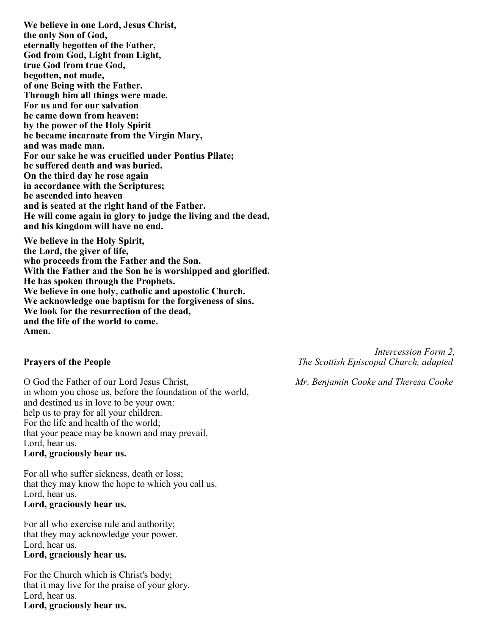**We believe in one Lord, Jesus Christ, the only Son of God, eternally begotten of the Father, God from God, Light from Light, true God from true God, begotten, not made, of one Being with the Father. Through him all things were made. For us and for our salvation he came down from heaven: by the power of the Holy Spirit he became incarnate from the Virgin Mary, and was made man. For our sake he was crucified under Pontius Pilate; he suffered death and was buried. On the third day he rose again in accordance with the Scriptures; he ascended into heaven and is seated at the right hand of the Father. He will come again in glory to judge the living and the dead, and his kingdom will have no end.**

**We believe in the Holy Spirit, the Lord, the giver of life, who proceeds from the Father and the Son. With the Father and the Son he is worshipped and glorified. He has spoken through the Prophets. We believe in one holy, catholic and apostolic Church. We acknowledge one baptism for the forgiveness of sins. We look for the resurrection of the dead, and the life of the world to come. Amen.**

O God the Father of our Lord Jesus Christ, *Mr. Benjamin Cooke and Theresa Cooke* in whom you chose us, before the foundation of the world, and destined us in love to be your own: help us to pray for all your children. For the life and health of the world; that your peace may be known and may prevail. Lord, hear us. **Lord, graciously hear us.**

For all who suffer sickness, death or loss; that they may know the hope to which you call us. Lord, hear us. **Lord, graciously hear us.**

For all who exercise rule and authority; that they may acknowledge your power. Lord, hear us. **Lord, graciously hear us.**

For the Church which is Christ's body; that it may live for the praise of your glory. Lord, hear us. **Lord, graciously hear us.**

 *Intercession Form 2,* **Prayers of the People** *The Scottish Episcopal Church, adapted*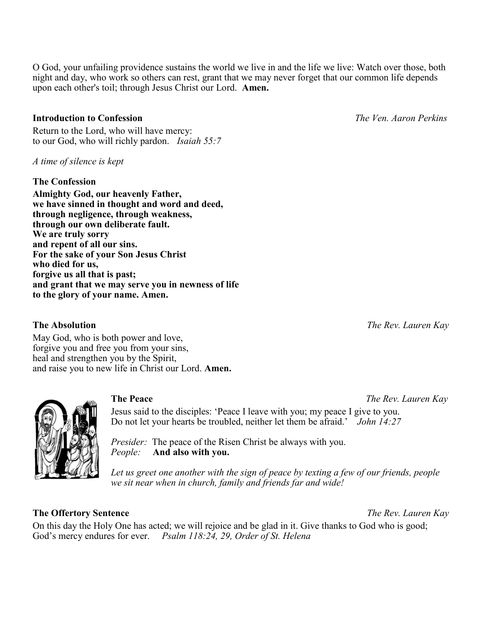O God, your unfailing providence sustains the world we live in and the life we live: Watch over those, both night and day, who work so others can rest, grant that we may never forget that our common life depends upon each other's toil; through Jesus Christ our Lord. **Amen.**

### **Introduction to Confession** *The Ven. Aaron Perkins*

Return to the Lord, who will have mercy: to our God, who will richly pardon. *Isaiah 55:7*

*A time of silence is kept* 

### **The Confession**

**Almighty God, our heavenly Father, we have sinned in thought and word and deed, through negligence, through weakness, through our own deliberate fault. We are truly sorry and repent of all our sins. For the sake of your Son Jesus Christ who died for us, forgive us all that is past; and grant that we may serve you in newness of life to the glory of your name. Amen.**

May God, who is both power and love, forgive you and free you from your sins, heal and strengthen you by the Spirit, and raise you to new life in Christ our Lord. **Amen.**

Jesus said to the disciples: 'Peace I leave with you; my peace I give to you. Do not let your hearts be troubled, neither let them be afraid.' *John 14:27* 

*Presider:* The peace of the Risen Christ be always with you. *People:* **And also with you.**

Let us greet one another with the sign of peace by texting a few of our friends, people *we sit near when in church, family and friends far and wide!* 

### **The Offertory Sentence** *The Rev. Lauren Kay*

On this day the Holy One has acted; we will rejoice and be glad in it. Give thanks to God who is good; God's mercy endures for ever. *Psalm 118:24, 29, Order of St. Helena*

**The Absolution** *The Rev. Lauren Kay*

**The Peace** *The Rev. Lauren Kay*

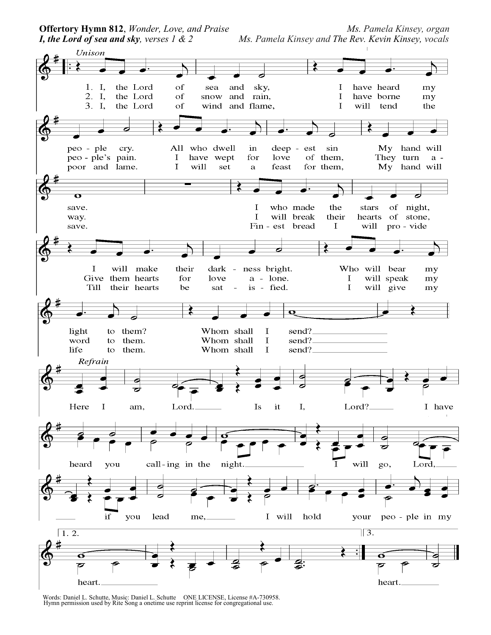*I, the Lord of sea and sky, verses 1 & 2 Ms. Pamela Kinsey and The Rev. Kevin Kinsey, vocals*

**Offertory Hymn 812,** *Wonder, Love, and Praise* Ms. Pamela Kinsey, organ



Words: Daniel L. Schutte, Music: Daniel L. Schutte ONE LICENSE, License #A-730958. Hymn permission used by Rite Song a onetime use reprint license for congregational use.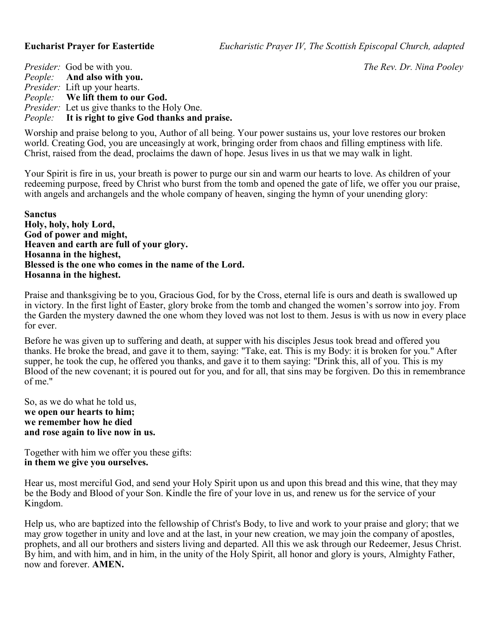**Eucharist Prayer for Eastertide** *Eucharistic Prayer IV, The Scottish Episcopal Church, adapted*

*Presider:* God be with you. *The Rev. Dr. Nina Pooley People:* **And also with you.** *Presider:* Lift up your hearts. *People:* **We lift them to our God.** *Presider:* Let us give thanks to the Holy One. *People:* **It is right to give God thanks and praise.**

Worship and praise belong to you, Author of all being. Your power sustains us, your love restores our broken world. Creating God, you are unceasingly at work, bringing order from chaos and filling emptiness with life. Christ, raised from the dead, proclaims the dawn of hope. Jesus lives in us that we may walk in light.

Your Spirit is fire in us, your breath is power to purge our sin and warm our hearts to love. As children of your redeeming purpose, freed by Christ who burst from the tomb and opened the gate of life, we offer you our praise, with angels and archangels and the whole company of heaven, singing the hymn of your unending glory:

**Sanctus Holy, holy, holy Lord, God of power and might, Heaven and earth are full of your glory. Hosanna in the highest, Blessed is the one who comes in the name of the Lord. Hosanna in the highest.**

Praise and thanksgiving be to you, Gracious God, for by the Cross, eternal life is ours and death is swallowed up in victory. In the first light of Easter, glory broke from the tomb and changed the women's sorrow into joy. From the Garden the mystery dawned the one whom they loved was not lost to them. Jesus is with us now in every place for ever.

Before he was given up to suffering and death, at supper with his disciples Jesus took bread and offered you thanks. He broke the bread, and gave it to them, saying: "Take, eat. This is my Body: it is broken for you." After supper, he took the cup, he offered you thanks, and gave it to them saying: "Drink this, all of you. This is my Blood of the new covenant; it is poured out for you, and for all, that sins may be forgiven. Do this in remembrance of me."

So, as we do what he told us, **we open our hearts to him; we remember how he died and rose again to live now in us.**

Together with him we offer you these gifts: **in them we give you ourselves.**

Hear us, most merciful God, and send your Holy Spirit upon us and upon this bread and this wine, that they may be the Body and Blood of your Son. Kindle the fire of your love in us, and renew us for the service of your Kingdom.

Help us, who are baptized into the fellowship of Christ's Body, to live and work to your praise and glory; that we may grow together in unity and love and at the last, in your new creation, we may join the company of apostles, prophets, and all our brothers and sisters living and departed. All this we ask through our Redeemer, Jesus Christ. By him, and with him, and in him, in the unity of the Holy Spirit, all honor and glory is yours, Almighty Father, now and forever. **AMEN.**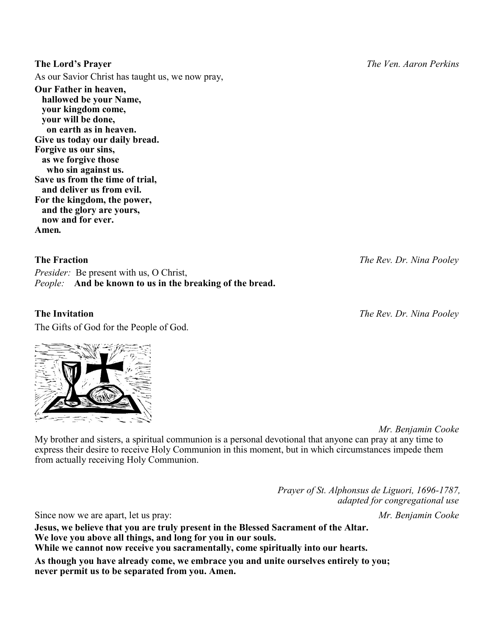As our Savior Christ has taught us, we now pray,

**Our Father in heaven, hallowed be your Name, your kingdom come, your will be done, on earth as in heaven. Give us today our daily bread. Forgive us our sins, as we forgive those who sin against us. Save us from the time of trial, and deliver us from evil. For the kingdom, the power, and the glory are yours, now and for ever. Amen***.*

### **The Fraction** *The Rev. Dr. Nina Pooley*

*Presider:* Be present with us, O Christ, *People:* **And be known to us in the breaking of the bread.**

The Gifts of God for the People of God.

 *Mr. Benjamin Cooke*

My brother and sisters, a spiritual communion is a personal devotional that anyone can pray at any time to express their desire to receive Holy Communion in this moment, but in which circumstances impede them from actually receiving Holy Communion.

> *Prayer of St. Alphonsus de Liguori, 1696-1787, adapted for congregational use*

Since now we are apart, let us pray: *Mr. Benjamin Cooke*

**Jesus, we believe that you are truly present in the Blessed Sacrament of the Altar. We love you above all things, and long for you in our souls. While we cannot now receive you sacramentally, come spiritually into our hearts.**

**As though you have already come, we embrace you and unite ourselves entirely to you; never permit us to be separated from you. Amen.**

# **The Invitation** *The Rev. Dr. Nina Pooley*

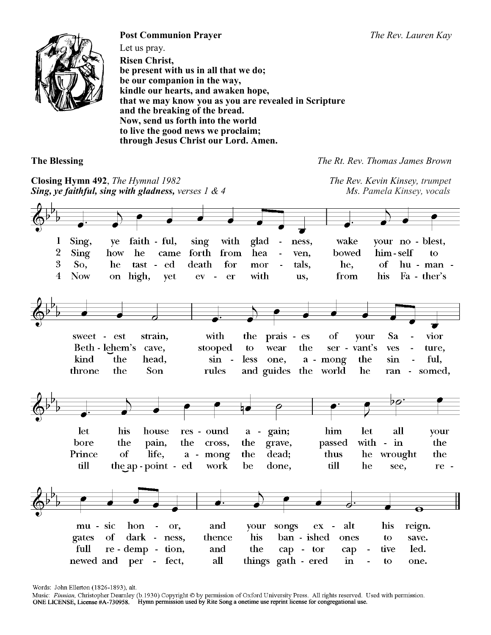

**Post Communion Prayer** *The Rev. Lauren Kay* Let us pray. **Risen Christ, be present with us in all that we do; be our companion in the way, kindle our hearts, and awaken hope, that we may know you as you are revealed in Scripture and the breaking of the bread. Now, send us forth into the world to live the good news we proclaim; through Jesus Christ our Lord. Amen.**

**The Blessing** *The Rt. Rev. Thomas James Brown*

**Closing Hymn 492**, *The Hymnal 1982 The Rev. Kevin Kinsey, trumpet Sing, ye faithful, sing with gladness, verses 1 & 4 Ms. Pamela Kinsey, vocals* Sing.  $\mathbf{1}$ ve faith - ful, sing with glad ness. wake your no - blest,  $\overline{2}$ **Sing** how he forth from hea bowed him-self came ven.  $\mathbf{t}$ 3 So. he tast ed death for tals. he.  $\alpha$ f hu - man mor  $\overline{\mathbf{4}}$ **Now on** high, yet  $ev$  $\sim$ er with from his Fa - ther's us, the sweet est strain. with prais - es of vour Sa vior Beth - lehem's the vant's cave. stooped to wear  $ser$ ves ture. kind the head.  $sin$ less the ful.  $\sim$ one. a - mong sin  $\overline{a}$ throne the Son rules and guides the world he somed, ran  $\sim$ let his house res - ound gain; him let aШ a  $\mathbf{r}$ your with - in **bore** the pain. the. cross. the grave. passed the Prince of life, the dead; thus he wrought the  $a$ mong till the ap - point - ed be done, till he work see, re - $\overline{\mathbf{o}}$ mu - sic hon or, and **vour** songs  $ex$ alt his reign.  $\sim$ his gates of dark ness, thence ban - ished ones to save. full and the led.  $re - demp$ tion, cap - tor cap tive  $a$ ll newed and things gath - ered  $\mathbf{in}$ per fect, to one.

Words: John Ellerton (1826-1893), alt.

Music: Finnian, Christopher Dearnley (b.1930) Copyright © by permission of Oxford University Press. All rights reserved. Used with permission.<br>ONE LICENSE, License #A-730958. Hymn permission used by Rite Song a onetime use